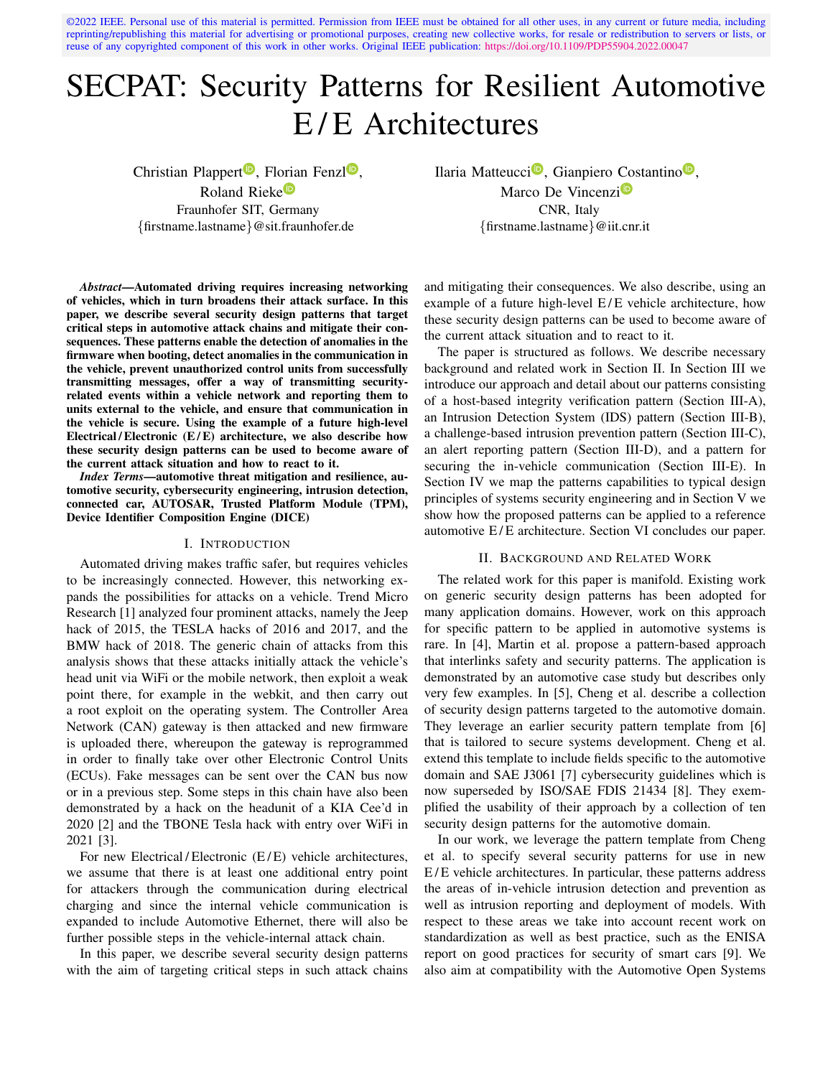©2022 IEEE. Personal use of this material is permitted. Permission from IEEE must be obtained for all other uses, in any current or future media, including reprinting/republishing this material for advertising or promotional purposes, creating new collective works, for resale or redistribution to servers or lists, or reuse of any copyrighted component of this work in other works. Original IEEE publication: <https://doi.org/10.1109/PDP55904.2022.00047>

# SECPAT: Security Patterns for Resilient Automotive E/E Architectures

Christian Plappert<sup> $\mathbf{D}$ </sup>, Florian Fenzl $\mathbf{D}$ , Roland Rieke<sup>D</sup> Fraunhofer SIT, Germany {firstname.lastname}@sit.fraunhofer.de

Ilaria Matteucci<sup>®</sup>, Gianpiero Costantino<sup>®</sup>, Marco De Vincenzi<sup>o</sup> CNR, Italy {firstname.lastname}@iit.cnr.it

*Abstract*—Automated driving requires increasing networking of vehicles, which in turn broadens their attack surface. In this paper, we describe several security design patterns that target critical steps in automotive attack chains and mitigate their consequences. These patterns enable the detection of anomalies in the firmware when booting, detect anomalies in the communication in the vehicle, prevent unauthorized control units from successfully transmitting messages, offer a way of transmitting securityrelated events within a vehicle network and reporting them to units external to the vehicle, and ensure that communication in the vehicle is secure. Using the example of a future high-level Electrical/Electronic  $(E/E)$  architecture, we also describe how these security design patterns can be used to become aware of the current attack situation and how to react to it.

*Index Terms*—automotive threat mitigation and resilience, automotive security, cybersecurity engineering, intrusion detection, connected car, AUTOSAR, Trusted Platform Module (TPM), Device Identifier Composition Engine (DICE)

#### I. INTRODUCTION

Automated driving makes traffic safer, but requires vehicles to be increasingly connected. However, this networking expands the possibilities for attacks on a vehicle. Trend Micro Research [1] analyzed four prominent attacks, namely the Jeep hack of 2015, the TESLA hacks of 2016 and 2017, and the BMW hack of 2018. The generic chain of attacks from this analysis shows that these attacks initially attack the vehicle's head unit via WiFi or the mobile network, then exploit a weak point there, for example in the webkit, and then carry out a root exploit on the operating system. The Controller Area Network (CAN) gateway is then attacked and new firmware is uploaded there, whereupon the gateway is reprogrammed in order to finally take over other Electronic Control Units (ECUs). Fake messages can be sent over the CAN bus now or in a previous step. Some steps in this chain have also been demonstrated by a hack on the headunit of a KIA Cee'd in 2020 [2] and the TBONE Tesla hack with entry over WiFi in 2021 [3].

For new Electrical/Electronic (E/E) vehicle architectures, we assume that there is at least one additional entry point for attackers through the communication during electrical charging and since the internal vehicle communication is expanded to include Automotive Ethernet, there will also be further possible steps in the vehicle-internal attack chain.

In this paper, we describe several security design patterns with the aim of targeting critical steps in such attack chains

and mitigating their consequences. We also describe, using an example of a future high-level  $E/E$  vehicle architecture, how these security design patterns can be used to become aware of the current attack situation and to react to it.

The paper is structured as follows. We describe necessary background and related work in Section II. In Section III we introduce our approach and detail about our patterns consisting of a host-based integrity verification pattern (Section III-A), an Intrusion Detection System (IDS) pattern (Section III-B), a challenge-based intrusion prevention pattern (Section III-C), an alert reporting pattern (Section III-D), and a pattern for securing the in-vehicle communication (Section III-E). In Section IV we map the patterns capabilities to typical design principles of systems security engineering and in Section V we show how the proposed patterns can be applied to a reference automotive E/E architecture. Section VI concludes our paper.

## II. BACKGROUND AND RELATED WORK

The related work for this paper is manifold. Existing work on generic security design patterns has been adopted for many application domains. However, work on this approach for specific pattern to be applied in automotive systems is rare. In [4], Martin et al. propose a pattern-based approach that interlinks safety and security patterns. The application is demonstrated by an automotive case study but describes only very few examples. In [5], Cheng et al. describe a collection of security design patterns targeted to the automotive domain. They leverage an earlier security pattern template from [6] that is tailored to secure systems development. Cheng et al. extend this template to include fields specific to the automotive domain and SAE J3061 [7] cybersecurity guidelines which is now superseded by ISO/SAE FDIS 21434 [8]. They exemplified the usability of their approach by a collection of ten security design patterns for the automotive domain.

In our work, we leverage the pattern template from Cheng et al. to specify several security patterns for use in new E/E vehicle architectures. In particular, these patterns address the areas of in-vehicle intrusion detection and prevention as well as intrusion reporting and deployment of models. With respect to these areas we take into account recent work on standardization as well as best practice, such as the ENISA report on good practices for security of smart cars [9]. We also aim at compatibility with the Automotive Open Systems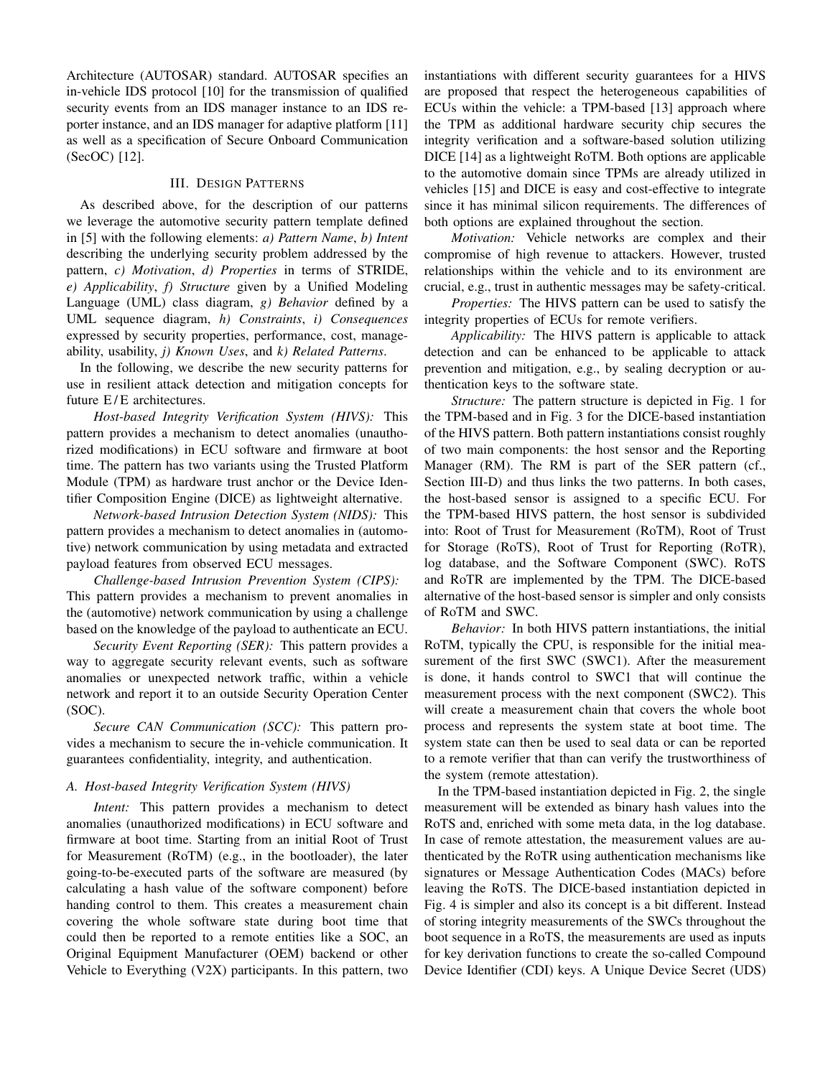Architecture (AUTOSAR) standard. AUTOSAR specifies an in-vehicle IDS protocol [10] for the transmission of qualified security events from an IDS manager instance to an IDS reporter instance, and an IDS manager for adaptive platform [11] as well as a specification of Secure Onboard Communication (SecOC) [12].

## III. DESIGN PATTERNS

As described above, for the description of our patterns we leverage the automotive security pattern template defined in [5] with the following elements: *a) Pattern Name*, *b) Intent* describing the underlying security problem addressed by the pattern, *c) Motivation*, *d) Properties* in terms of STRIDE, *e) Applicability*, *f) Structure* given by a Unified Modeling Language (UML) class diagram, *g) Behavior* defined by a UML sequence diagram, *h) Constraints*, *i) Consequences* expressed by security properties, performance, cost, manageability, usability, *j) Known Uses*, and *k) Related Patterns*.

In the following, we describe the new security patterns for use in resilient attack detection and mitigation concepts for future E/E architectures.

*Host-based Integrity Verification System (HIVS):* This pattern provides a mechanism to detect anomalies (unauthorized modifications) in ECU software and firmware at boot time. The pattern has two variants using the Trusted Platform Module (TPM) as hardware trust anchor or the Device Identifier Composition Engine (DICE) as lightweight alternative.

*Network-based Intrusion Detection System (NIDS):* This pattern provides a mechanism to detect anomalies in (automotive) network communication by using metadata and extracted payload features from observed ECU messages.

*Challenge-based Intrusion Prevention System (CIPS):* This pattern provides a mechanism to prevent anomalies in the (automotive) network communication by using a challenge based on the knowledge of the payload to authenticate an ECU.

*Security Event Reporting (SER):* This pattern provides a way to aggregate security relevant events, such as software anomalies or unexpected network traffic, within a vehicle network and report it to an outside Security Operation Center (SOC).

*Secure CAN Communication (SCC):* This pattern provides a mechanism to secure the in-vehicle communication. It guarantees confidentiality, integrity, and authentication.

# *A. Host-based Integrity Verification System (HIVS)*

*Intent:* This pattern provides a mechanism to detect anomalies (unauthorized modifications) in ECU software and firmware at boot time. Starting from an initial Root of Trust for Measurement (RoTM) (e.g., in the bootloader), the later going-to-be-executed parts of the software are measured (by calculating a hash value of the software component) before handing control to them. This creates a measurement chain covering the whole software state during boot time that could then be reported to a remote entities like a SOC, an Original Equipment Manufacturer (OEM) backend or other Vehicle to Everything (V2X) participants. In this pattern, two

instantiations with different security guarantees for a HIVS are proposed that respect the heterogeneous capabilities of ECUs within the vehicle: a TPM-based [13] approach where the TPM as additional hardware security chip secures the integrity verification and a software-based solution utilizing DICE [14] as a lightweight RoTM. Both options are applicable to the automotive domain since TPMs are already utilized in vehicles [15] and DICE is easy and cost-effective to integrate since it has minimal silicon requirements. The differences of both options are explained throughout the section.

*Motivation:* Vehicle networks are complex and their compromise of high revenue to attackers. However, trusted relationships within the vehicle and to its environment are crucial, e.g., trust in authentic messages may be safety-critical.

*Properties:* The HIVS pattern can be used to satisfy the integrity properties of ECUs for remote verifiers.

*Applicability:* The HIVS pattern is applicable to attack detection and can be enhanced to be applicable to attack prevention and mitigation, e.g., by sealing decryption or authentication keys to the software state.

*Structure:* The pattern structure is depicted in Fig. 1 for the TPM-based and in Fig. 3 for the DICE-based instantiation of the HIVS pattern. Both pattern instantiations consist roughly of two main components: the host sensor and the Reporting Manager (RM). The RM is part of the SER pattern (cf., Section III-D) and thus links the two patterns. In both cases, the host-based sensor is assigned to a specific ECU. For the TPM-based HIVS pattern, the host sensor is subdivided into: Root of Trust for Measurement (RoTM), Root of Trust for Storage (RoTS), Root of Trust for Reporting (RoTR), log database, and the Software Component (SWC). RoTS and RoTR are implemented by the TPM. The DICE-based alternative of the host-based sensor is simpler and only consists of RoTM and SWC.

*Behavior:* In both HIVS pattern instantiations, the initial RoTM, typically the CPU, is responsible for the initial measurement of the first SWC (SWC1). After the measurement is done, it hands control to SWC1 that will continue the measurement process with the next component (SWC2). This will create a measurement chain that covers the whole boot process and represents the system state at boot time. The system state can then be used to seal data or can be reported to a remote verifier that than can verify the trustworthiness of the system (remote attestation).

In the TPM-based instantiation depicted in Fig. 2, the single measurement will be extended as binary hash values into the RoTS and, enriched with some meta data, in the log database. In case of remote attestation, the measurement values are authenticated by the RoTR using authentication mechanisms like signatures or Message Authentication Codes (MACs) before leaving the RoTS. The DICE-based instantiation depicted in Fig. 4 is simpler and also its concept is a bit different. Instead of storing integrity measurements of the SWCs throughout the boot sequence in a RoTS, the measurements are used as inputs for key derivation functions to create the so-called Compound Device Identifier (CDI) keys. A Unique Device Secret (UDS)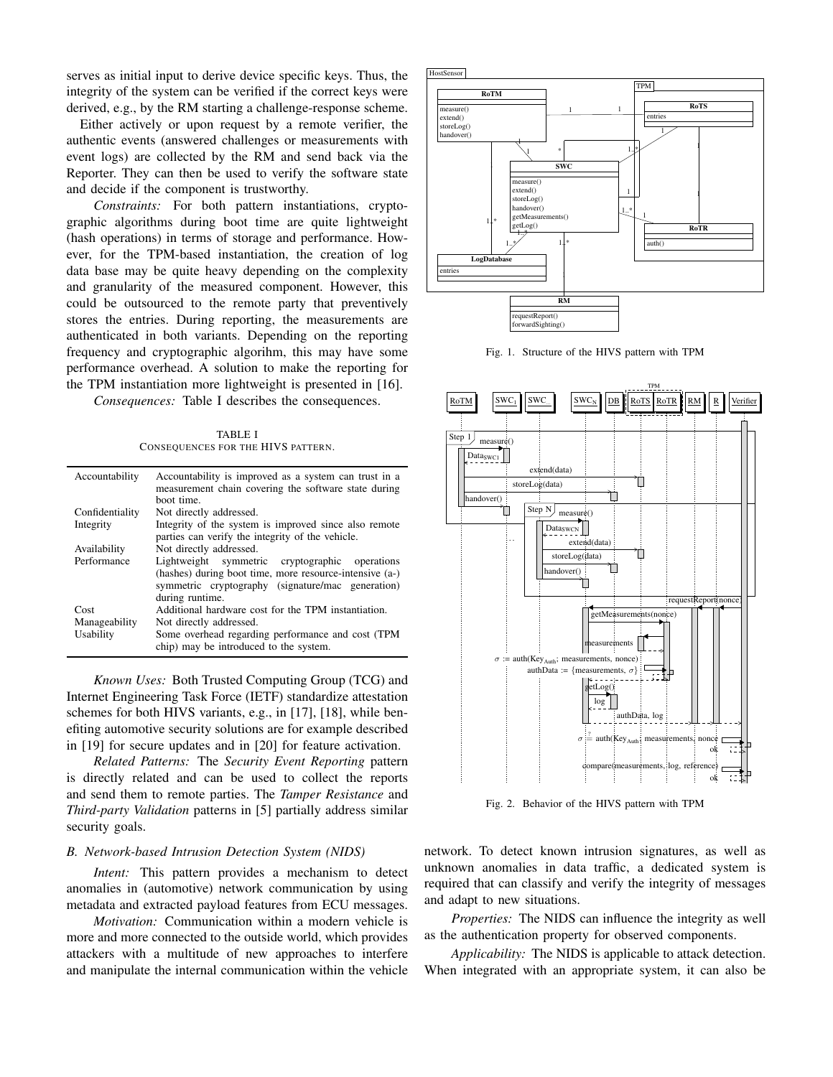serves as initial input to derive device specific keys. Thus, the integrity of the system can be verified if the correct keys were derived, e.g., by the RM starting a challenge-response scheme.

Either actively or upon request by a remote verifier, the authentic events (answered challenges or measurements with event logs) are collected by the RM and send back via the Reporter. They can then be used to verify the software state and decide if the component is trustworthy.

*Constraints:* For both pattern instantiations, cryptographic algorithms during boot time are quite lightweight (hash operations) in terms of storage and performance. However, for the TPM-based instantiation, the creation of log data base may be quite heavy depending on the complexity and granularity of the measured component. However, this could be outsourced to the remote party that preventively stores the entries. During reporting, the measurements are authenticated in both variants. Depending on the reporting frequency and cryptographic algorihm, this may have some performance overhead. A solution to make the reporting for the TPM instantiation more lightweight is presented in [16].

*Consequences:* Table I describes the consequences.

TABLE I CONSEQUENCES FOR THE HIVS PATTERN.

| Accountability             | Accountability is improved as a system can trust in a<br>measurement chain covering the software state during<br>hoot time.                                                       |  |  |  |
|----------------------------|-----------------------------------------------------------------------------------------------------------------------------------------------------------------------------------|--|--|--|
| Confidentiality            | Not directly addressed.                                                                                                                                                           |  |  |  |
| Integrity                  | Integrity of the system is improved since also remote<br>parties can verify the integrity of the vehicle.                                                                         |  |  |  |
| Availability               | Not directly addressed.                                                                                                                                                           |  |  |  |
| Performance                | Lightweight symmetric cryptographic operations<br>(hashes) during boot time, more resource-intensive (a-)<br>symmetric cryptography (signature/mac generation)<br>during runtime. |  |  |  |
| Cost                       | Additional hardware cost for the TPM instantiation.                                                                                                                               |  |  |  |
| Manageability<br>Usability | Not directly addressed.<br>Some overhead regarding performance and cost (TPM)<br>chip) may be introduced to the system.                                                           |  |  |  |

*Known Uses:* Both Trusted Computing Group (TCG) and Internet Engineering Task Force (IETF) standardize attestation schemes for both HIVS variants, e.g., in [17], [18], while benefiting automotive security solutions are for example described in [19] for secure updates and in [20] for feature activation.

*Related Patterns:* The *Security Event Reporting* pattern is directly related and can be used to collect the reports and send them to remote parties. The *Tamper Resistance* and *Third-party Validation* patterns in [5] partially address similar security goals.

#### *B. Network-based Intrusion Detection System (NIDS)*

*Intent:* This pattern provides a mechanism to detect anomalies in (automotive) network communication by using metadata and extracted payload features from ECU messages.

*Motivation:* Communication within a modern vehicle is more and more connected to the outside world, which provides attackers with a multitude of new approaches to interfere and manipulate the internal communication within the vehicle



Fig. 1. Structure of the HIVS pattern with TPM



Fig. 2. Behavior of the HIVS pattern with TPM

network. To detect known intrusion signatures, as well as unknown anomalies in data traffic, a dedicated system is required that can classify and verify the integrity of messages and adapt to new situations.

*Properties:* The NIDS can influence the integrity as well as the authentication property for observed components.

*Applicability:* The NIDS is applicable to attack detection. When integrated with an appropriate system, it can also be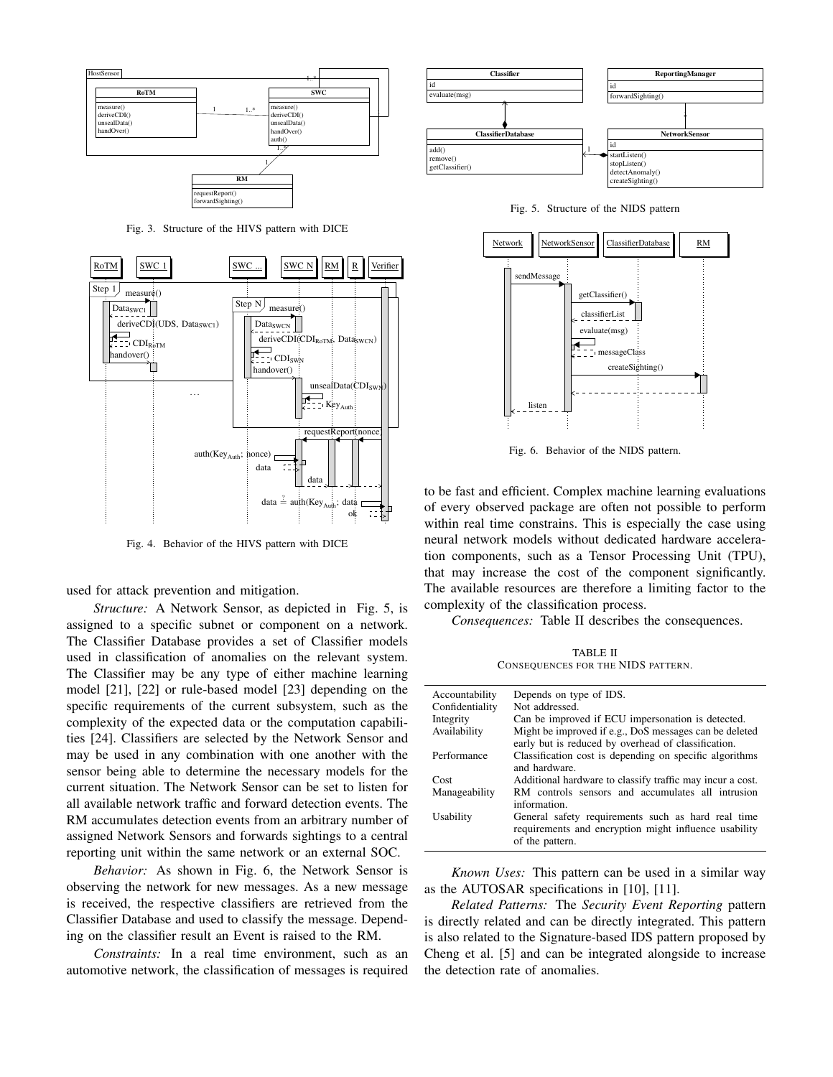

Fig. 3. Structure of the HIVS pattern with DICE



Fig. 4. Behavior of the HIVS pattern with DICE

used for attack prevention and mitigation.

*Structure:* A Network Sensor, as depicted in Fig. 5, is assigned to a specific subnet or component on a network. The Classifier Database provides a set of Classifier models used in classification of anomalies on the relevant system. The Classifier may be any type of either machine learning model [21], [22] or rule-based model [23] depending on the specific requirements of the current subsystem, such as the complexity of the expected data or the computation capabilities [24]. Classifiers are selected by the Network Sensor and may be used in any combination with one another with the sensor being able to determine the necessary models for the current situation. The Network Sensor can be set to listen for all available network traffic and forward detection events. The RM accumulates detection events from an arbitrary number of assigned Network Sensors and forwards sightings to a central reporting unit within the same network or an external SOC.

*Behavior:* As shown in Fig. 6, the Network Sensor is observing the network for new messages. As a new message is received, the respective classifiers are retrieved from the Classifier Database and used to classify the message. Depending on the classifier result an Event is raised to the RM.

*Constraints:* In a real time environment, such as an automotive network, the classification of messages is required



Fig. 5. Structure of the NIDS pattern



Fig. 6. Behavior of the NIDS pattern.

to be fast and efficient. Complex machine learning evaluations of every observed package are often not possible to perform within real time constrains. This is especially the case using neural network models without dedicated hardware acceleration components, such as a Tensor Processing Unit (TPU), that may increase the cost of the component significantly. The available resources are therefore a limiting factor to the complexity of the classification process.

*Consequences:* Table II describes the consequences.

TABLE II CONSEQUENCES FOR THE NIDS PATTERN.

| Accountability  | Depends on type of IDS.                                                                                                        |
|-----------------|--------------------------------------------------------------------------------------------------------------------------------|
| Confidentiality | Not addressed.                                                                                                                 |
| Integrity       | Can be improved if ECU impersonation is detected.                                                                              |
| Availability    | Might be improved if e.g., DoS messages can be deleted                                                                         |
|                 | early but is reduced by overhead of classification.                                                                            |
| Performance     | Classification cost is depending on specific algorithms                                                                        |
|                 | and hardware.                                                                                                                  |
| Cost            | Additional hardware to classify traffic may incur a cost.                                                                      |
| Manageability   | RM controls sensors and accumulates all intrusion                                                                              |
|                 | information.                                                                                                                   |
| Usability       | General safety requirements such as hard real time<br>requirements and encryption might influence usability<br>of the pattern. |

*Known Uses:* This pattern can be used in a similar way as the AUTOSAR specifications in [10], [11].

*Related Patterns:* The *Security Event Reporting* pattern is directly related and can be directly integrated. This pattern is also related to the Signature-based IDS pattern proposed by Cheng et al. [5] and can be integrated alongside to increase the detection rate of anomalies.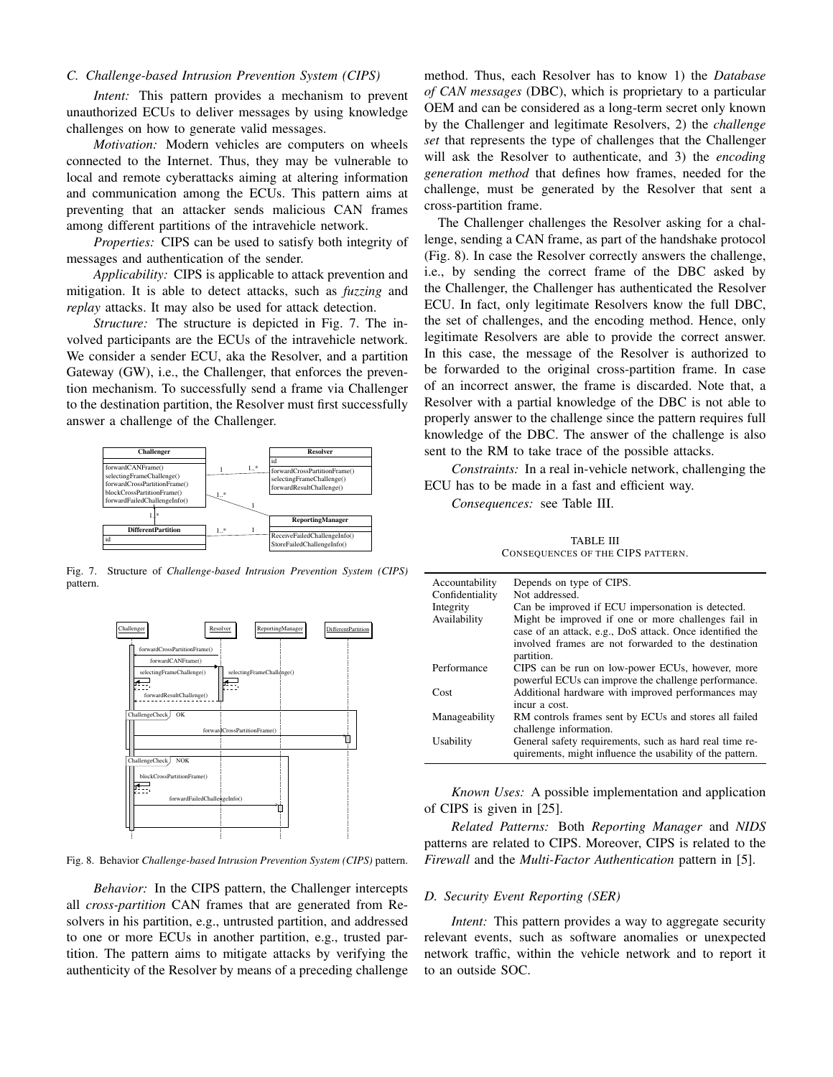# *C. Challenge-based Intrusion Prevention System (CIPS)*

*Intent:* This pattern provides a mechanism to prevent unauthorized ECUs to deliver messages by using knowledge challenges on how to generate valid messages.

*Motivation:* Modern vehicles are computers on wheels connected to the Internet. Thus, they may be vulnerable to local and remote cyberattacks aiming at altering information and communication among the ECUs. This pattern aims at preventing that an attacker sends malicious CAN frames among different partitions of the intravehicle network.

*Properties:* CIPS can be used to satisfy both integrity of messages and authentication of the sender.

*Applicability:* CIPS is applicable to attack prevention and mitigation. It is able to detect attacks, such as *fuzzing* and *replay* attacks. It may also be used for attack detection.

*Structure:* The structure is depicted in Fig. 7. The involved participants are the ECUs of the intravehicle network. We consider a sender ECU, aka the Resolver, and a partition Gateway (GW), i.e., the Challenger, that enforces the prevention mechanism. To successfully send a frame via Challenger to the destination partition, the Resolver must first successfully answer a challenge of the Challenger.



Fig. 7. Structure of *Challenge-based Intrusion Prevention System (CIPS)* pattern.



Fig. 8. Behavior *Challenge-based Intrusion Prevention System (CIPS)* pattern.

*Behavior:* In the CIPS pattern, the Challenger intercepts all *cross-partition* CAN frames that are generated from Resolvers in his partition, e.g., untrusted partition, and addressed to one or more ECUs in another partition, e.g., trusted partition. The pattern aims to mitigate attacks by verifying the authenticity of the Resolver by means of a preceding challenge

method. Thus, each Resolver has to know 1) the *Database of CAN messages* (DBC), which is proprietary to a particular OEM and can be considered as a long-term secret only known by the Challenger and legitimate Resolvers, 2) the *challenge set* that represents the type of challenges that the Challenger will ask the Resolver to authenticate, and 3) the *encoding generation method* that defines how frames, needed for the challenge, must be generated by the Resolver that sent a cross-partition frame.

The Challenger challenges the Resolver asking for a challenge, sending a CAN frame, as part of the handshake protocol (Fig. 8). In case the Resolver correctly answers the challenge, i.e., by sending the correct frame of the DBC asked by the Challenger, the Challenger has authenticated the Resolver ECU. In fact, only legitimate Resolvers know the full DBC, the set of challenges, and the encoding method. Hence, only legitimate Resolvers are able to provide the correct answer. In this case, the message of the Resolver is authorized to be forwarded to the original cross-partition frame. In case of an incorrect answer, the frame is discarded. Note that, a Resolver with a partial knowledge of the DBC is not able to properly answer to the challenge since the pattern requires full knowledge of the DBC. The answer of the challenge is also sent to the RM to take trace of the possible attacks.

*Constraints:* In a real in-vehicle network, challenging the ECU has to be made in a fast and efficient way.

*Consequences:* see Table III.

TABLE III CONSEQUENCES OF THE CIPS PATTERN.

| Accountability  | Depends on type of CIPS.                                  |
|-----------------|-----------------------------------------------------------|
| Confidentiality | Not addressed.                                            |
| Integrity       | Can be improved if ECU impersonation is detected.         |
| Availability    | Might be improved if one or more challenges fail in       |
|                 | case of an attack, e.g., DoS attack. Once identified the  |
|                 | involved frames are not forwarded to the destination      |
|                 | partition.                                                |
| Performance     | CIPS can be run on low-power ECUs, however, more          |
|                 | powerful ECUs can improve the challenge performance.      |
| Cost            | Additional hardware with improved performances may        |
|                 | incur a cost.                                             |
| Manageability   | RM controls frames sent by ECUs and stores all failed     |
|                 | challenge information.                                    |
| Usability       | General safety requirements, such as hard real time re-   |
|                 | quirements, might influence the usability of the pattern. |

*Known Uses:* A possible implementation and application of CIPS is given in [25].

*Related Patterns:* Both *Reporting Manager* and *NIDS* patterns are related to CIPS. Moreover, CIPS is related to the *Firewall* and the *Multi-Factor Authentication* pattern in [5].

# *D. Security Event Reporting (SER)*

*Intent:* This pattern provides a way to aggregate security relevant events, such as software anomalies or unexpected network traffic, within the vehicle network and to report it to an outside SOC.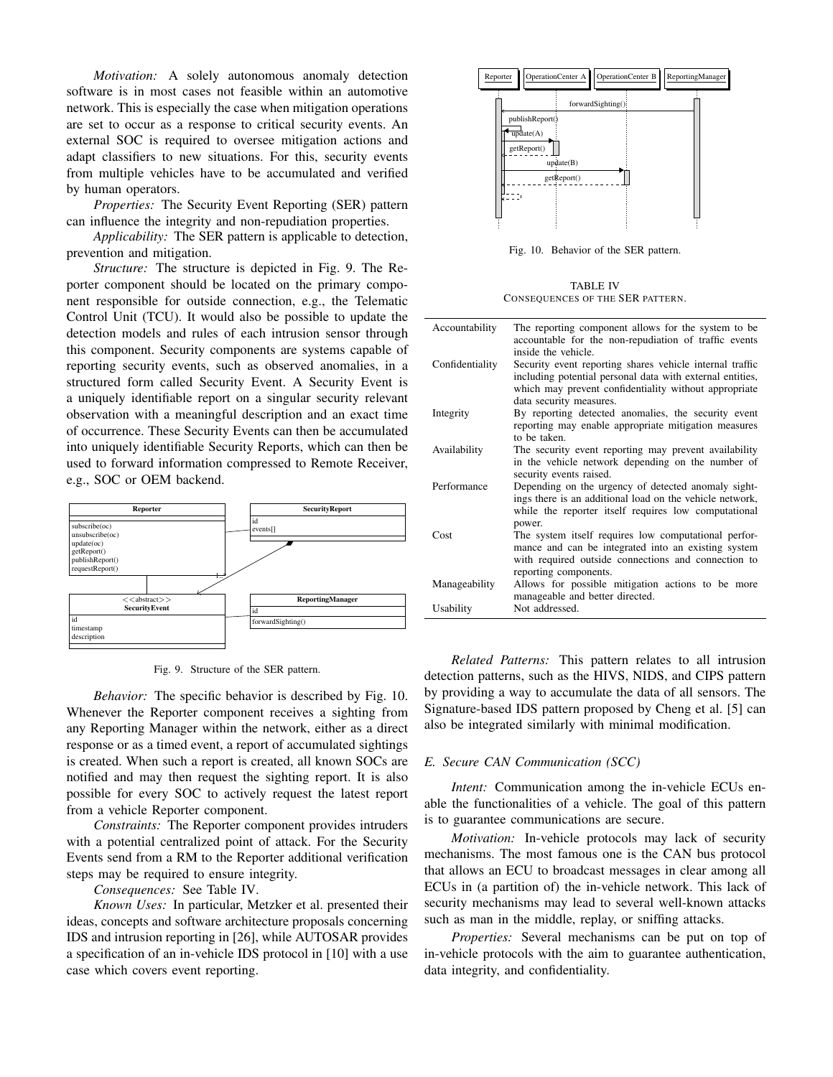*Motivation:* A solely autonomous anomaly detection software is in most cases not feasible within an automotive network. This is especially the case when mitigation operations are set to occur as a response to critical security events. An external SOC is required to oversee mitigation actions and adapt classifiers to new situations. For this, security events from multiple vehicles have to be accumulated and verified by human operators.

*Properties:* The Security Event Reporting (SER) pattern can influence the integrity and non-repudiation properties.

*Applicability:* The SER pattern is applicable to detection, prevention and mitigation.

*Structure:* The structure is depicted in Fig. 9. The Reporter component should be located on the primary component responsible for outside connection, e.g., the Telematic Control Unit (TCU). It would also be possible to update the detection models and rules of each intrusion sensor through this component. Security components are systems capable of reporting security events, such as observed anomalies, in a structured form called Security Event. A Security Event is a uniquely identifiable report on a singular security relevant observation with a meaningful description and an exact time of occurrence. These Security Events can then be accumulated into uniquely identifiable Security Reports, which can then be used to forward information compressed to Remote Receiver, e.g., SOC or OEM backend.



Fig. 9. Structure of the SER pattern.

*Behavior:* The specific behavior is described by Fig. 10. Whenever the Reporter component receives a sighting from any Reporting Manager within the network, either as a direct response or as a timed event, a report of accumulated sightings is created. When such a report is created, all known SOCs are notified and may then request the sighting report. It is also possible for every SOC to actively request the latest report from a vehicle Reporter component.

*Constraints:* The Reporter component provides intruders with a potential centralized point of attack. For the Security Events send from a RM to the Reporter additional verification steps may be required to ensure integrity.

*Consequences:* See Table IV.

*Known Uses:* In particular, Metzker et al. presented their ideas, concepts and software architecture proposals concerning IDS and intrusion reporting in [26], while AUTOSAR provides a specification of an in-vehicle IDS protocol in [10] with a use case which covers event reporting.



Fig. 10. Behavior of the SER pattern.

TABLE IV CONSEQUENCES OF THE SER PATTERN.

| Accountability  | The reporting component allows for the system to be.<br>accountable for the non-repudiation of traffic events<br>inside the vehicle.                                                        |
|-----------------|---------------------------------------------------------------------------------------------------------------------------------------------------------------------------------------------|
| Confidentiality | Security event reporting shares vehicle internal traffic<br>including potential personal data with external entities,<br>which may prevent confidentiality without appropriate              |
| Integrity       | data security measures.<br>By reporting detected anomalies, the security event<br>reporting may enable appropriate mitigation measures<br>to be taken.                                      |
| Availability    | The security event reporting may prevent availability<br>in the vehicle network depending on the number of<br>security events raised.                                                       |
| Performance     | Depending on the urgency of detected anomaly sight-<br>ings there is an additional load on the vehicle network,<br>while the reporter itself requires low computational<br>power.           |
| Cost            | The system itself requires low computational perfor-<br>mance and can be integrated into an existing system<br>with required outside connections and connection to<br>reporting components. |
| Manageability   | Allows for possible mitigation actions to be more<br>manageable and better directed.                                                                                                        |
| Usability       | Not addressed.                                                                                                                                                                              |

*Related Patterns:* This pattern relates to all intrusion detection patterns, such as the HIVS, NIDS, and CIPS pattern by providing a way to accumulate the data of all sensors. The Signature-based IDS pattern proposed by Cheng et al. [5] can also be integrated similarly with minimal modification.

## *E. Secure CAN Communication (SCC)*

*Intent:* Communication among the in-vehicle ECUs enable the functionalities of a vehicle. The goal of this pattern is to guarantee communications are secure.

*Motivation:* In-vehicle protocols may lack of security mechanisms. The most famous one is the CAN bus protocol that allows an ECU to broadcast messages in clear among all ECUs in (a partition of) the in-vehicle network. This lack of security mechanisms may lead to several well-known attacks such as man in the middle, replay, or sniffing attacks.

*Properties:* Several mechanisms can be put on top of in-vehicle protocols with the aim to guarantee authentication, data integrity, and confidentiality.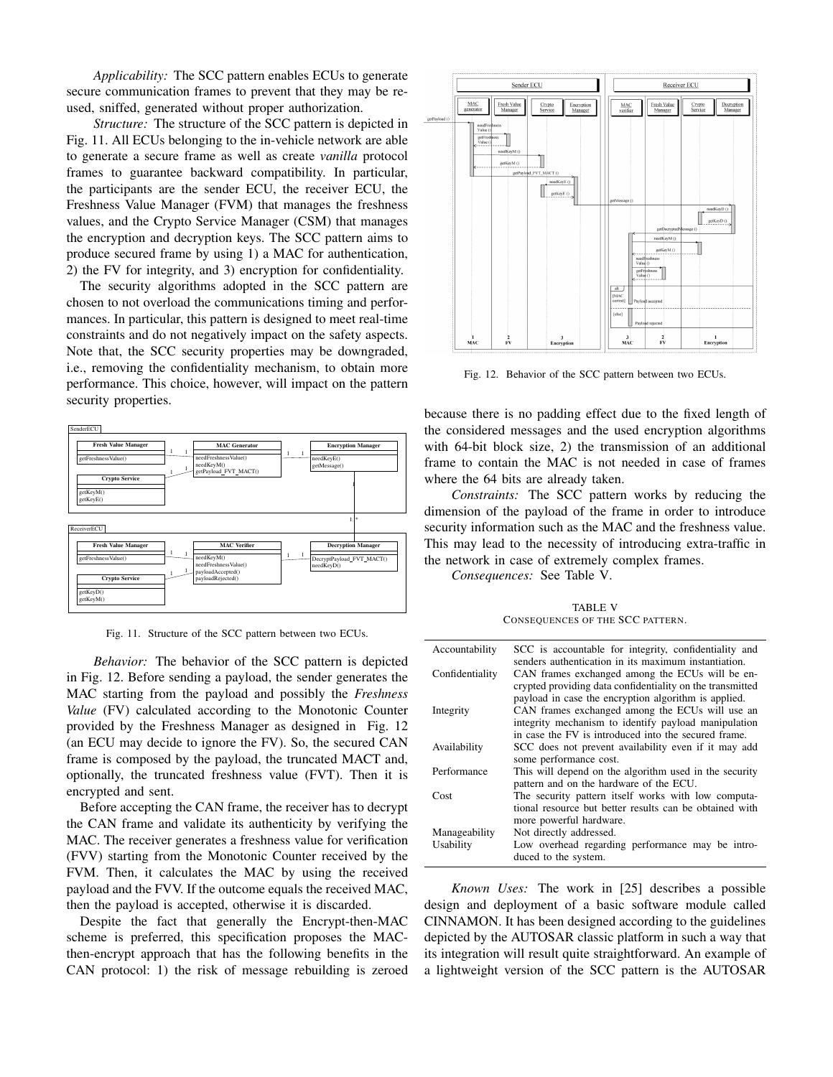*Applicability:* The SCC pattern enables ECUs to generate secure communication frames to prevent that they may be reused, sniffed, generated without proper authorization.

*Structure:* The structure of the SCC pattern is depicted in Fig. 11. All ECUs belonging to the in-vehicle network are able to generate a secure frame as well as create *vanilla* protocol frames to guarantee backward compatibility. In particular, the participants are the sender ECU, the receiver ECU, the Freshness Value Manager (FVM) that manages the freshness values, and the Crypto Service Manager (CSM) that manages the encryption and decryption keys. The SCC pattern aims to produce secured frame by using 1) a MAC for authentication, 2) the FV for integrity, and 3) encryption for confidentiality.

The security algorithms adopted in the SCC pattern are chosen to not overload the communications timing and performances. In particular, this pattern is designed to meet real-time constraints and do not negatively impact on the safety aspects. Note that, the SCC security properties may be downgraded, i.e., removing the confidentiality mechanism, to obtain more performance. This choice, however, will impact on the pattern security properties.



Fig. 11. Structure of the SCC pattern between two ECUs.

*Behavior:* The behavior of the SCC pattern is depicted in Fig. 12. Before sending a payload, the sender generates the MAC starting from the payload and possibly the *Freshness Value* (FV) calculated according to the Monotonic Counter provided by the Freshness Manager as designed in Fig. 12 (an ECU may decide to ignore the FV). So, the secured CAN frame is composed by the payload, the truncated MACT and, optionally, the truncated freshness value (FVT). Then it is encrypted and sent.

Before accepting the CAN frame, the receiver has to decrypt the CAN frame and validate its authenticity by verifying the MAC. The receiver generates a freshness value for verification (FVV) starting from the Monotonic Counter received by the FVM. Then, it calculates the MAC by using the received payload and the FVV. If the outcome equals the received MAC, then the payload is accepted, otherwise it is discarded.

Despite the fact that generally the Encrypt-then-MAC scheme is preferred, this specification proposes the MACthen-encrypt approach that has the following benefits in the CAN protocol: 1) the risk of message rebuilding is zeroed



Fig. 12. Behavior of the SCC pattern between two ECUs.

because there is no padding effect due to the fixed length of the considered messages and the used encryption algorithms with 64-bit block size, 2) the transmission of an additional frame to contain the MAC is not needed in case of frames where the 64 bits are already taken.

*Constraints:* The SCC pattern works by reducing the dimension of the payload of the frame in order to introduce security information such as the MAC and the freshness value. This may lead to the necessity of introducing extra-traffic in the network in case of extremely complex frames.

*Consequences:* See Table V.

TABLE V CONSEQUENCES OF THE SCC PATTERN.

| Accountability  | SCC is accountable for integrity, confidentiality and<br>senders authentication in its maximum instantiation.                                                   |
|-----------------|-----------------------------------------------------------------------------------------------------------------------------------------------------------------|
| Confidentiality | CAN frames exchanged among the ECUs will be en-<br>crypted providing data confidentiality on the transmitted                                                    |
|                 | payload in case the encryption algorithm is applied.                                                                                                            |
| Integrity       | CAN frames exchanged among the ECUs will use an<br>integrity mechanism to identify payload manipulation<br>in case the FV is introduced into the secured frame. |
|                 |                                                                                                                                                                 |
| Availability    | SCC does not prevent availability even if it may add                                                                                                            |
|                 | some performance cost.                                                                                                                                          |
| Performance     | This will depend on the algorithm used in the security                                                                                                          |
|                 | pattern and on the hardware of the ECU.                                                                                                                         |
| Cost            | The security pattern itself works with low computa-                                                                                                             |
|                 | tional resource but better results can be obtained with                                                                                                         |
|                 | more powerful hardware.                                                                                                                                         |
| Manageability   | Not directly addressed.                                                                                                                                         |
| Usability       | Low overhead regarding performance may be intro-                                                                                                                |
|                 |                                                                                                                                                                 |
|                 | duced to the system.                                                                                                                                            |

*Known Uses:* The work in [25] describes a possible design and deployment of a basic software module called CINNAMON. It has been designed according to the guidelines depicted by the AUTOSAR classic platform in such a way that its integration will result quite straightforward. An example of a lightweight version of the SCC pattern is the AUTOSAR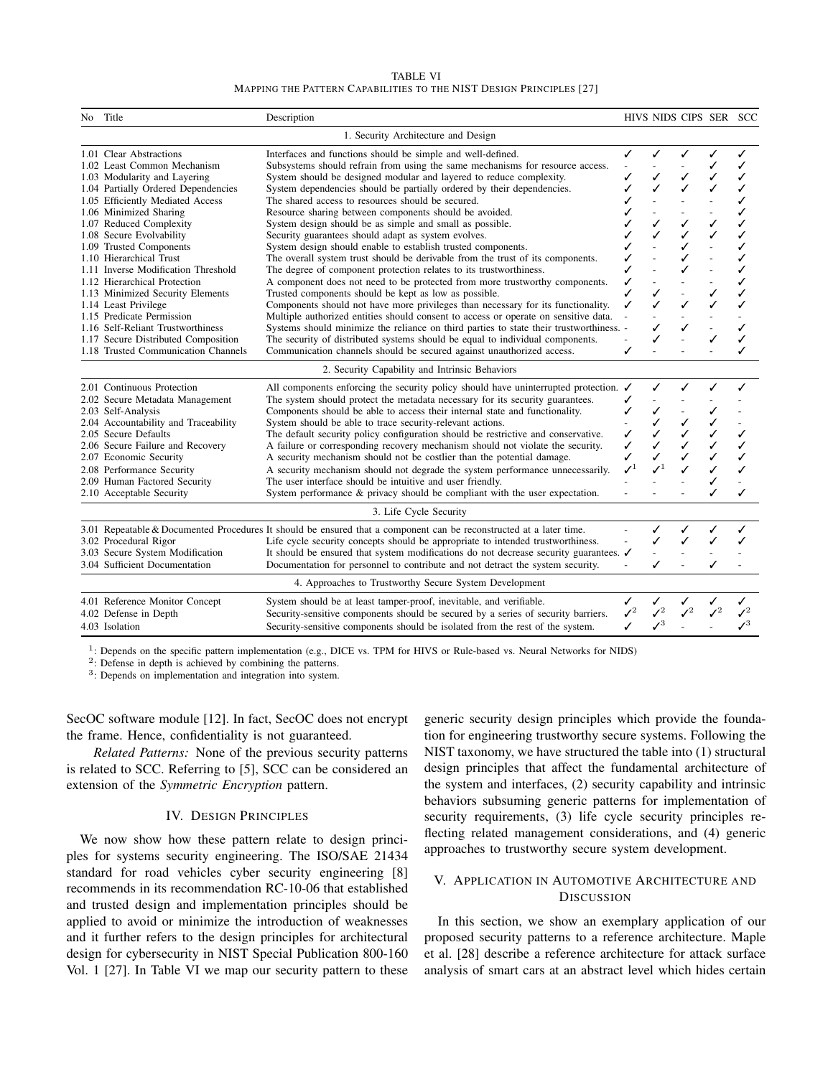| <b>TABLE VI</b>                                                     |  |
|---------------------------------------------------------------------|--|
| MAPPING THE PATTERN CAPABILITIES TO THE NIST DESIGN PRINCIPLES [27] |  |

| No.                                 | Title                                | Description                                                                                                         |                             |                 | HIVS NIDS CIPS SER |                 | SCC             |
|-------------------------------------|--------------------------------------|---------------------------------------------------------------------------------------------------------------------|-----------------------------|-----------------|--------------------|-----------------|-----------------|
| 1. Security Architecture and Design |                                      |                                                                                                                     |                             |                 |                    |                 |                 |
|                                     | 1.01 Clear Abstractions              | Interfaces and functions should be simple and well-defined.                                                         | ✓                           | ✓               | ✓                  | ✓               | ✓               |
|                                     | 1.02 Least Common Mechanism          | Subsystems should refrain from using the same mechanisms for resource access.                                       |                             |                 |                    | ✓               | ✓               |
|                                     | 1.03 Modularity and Layering         | System should be designed modular and layered to reduce complexity.                                                 |                             |                 | ✓                  | ✓               | ✓               |
|                                     | 1.04 Partially Ordered Dependencies  | System dependencies should be partially ordered by their dependencies.                                              |                             |                 | ✓                  |                 | ✓               |
|                                     | 1.05 Efficiently Mediated Access     | The shared access to resources should be secured.                                                                   |                             |                 |                    |                 | ✓               |
|                                     | 1.06 Minimized Sharing               | Resource sharing between components should be avoided.                                                              |                             |                 |                    |                 | ✓               |
|                                     | 1.07 Reduced Complexity              | System design should be as simple and small as possible.                                                            |                             |                 | ✓                  | ✓               | ✓               |
|                                     | 1.08 Secure Evolvability             | Security guarantees should adapt as system evolves.                                                                 |                             |                 | ✓                  |                 | ✓               |
|                                     | 1.09 Trusted Components              | System design should enable to establish trusted components.                                                        |                             |                 | ✓                  |                 | ✓               |
|                                     | 1.10 Hierarchical Trust              | The overall system trust should be derivable from the trust of its components.                                      |                             |                 | ✓                  |                 | ✓               |
|                                     | 1.11 Inverse Modification Threshold  | The degree of component protection relates to its trustworthiness.                                                  |                             |                 |                    |                 | ✓               |
|                                     | 1.12 Hierarchical Protection         | A component does not need to be protected from more trustworthy components.                                         |                             |                 |                    |                 | ✓               |
|                                     | 1.13 Minimized Security Elements     | Trusted components should be kept as low as possible.                                                               | ✓                           |                 |                    |                 | ✓               |
|                                     | 1.14 Least Privilege                 | Components should not have more privileges than necessary for its functionality.                                    |                             |                 |                    |                 |                 |
|                                     | 1.15 Predicate Permission            | Multiple authorized entities should consent to access or operate on sensitive data.                                 |                             |                 |                    |                 |                 |
|                                     | 1.16 Self-Reliant Trustworthiness    | Systems should minimize the reliance on third parties to state their trustworthiness. -                             |                             |                 |                    |                 |                 |
|                                     | 1.17 Secure Distributed Composition  | The security of distributed systems should be equal to individual components.                                       |                             |                 |                    | ✓               | ✓               |
|                                     | 1.18 Trusted Communication Channels  | Communication channels should be secured against unauthorized access.                                               | ✓                           |                 |                    |                 |                 |
|                                     |                                      | 2. Security Capability and Intrinsic Behaviors                                                                      |                             |                 |                    |                 |                 |
|                                     | 2.01 Continuous Protection           | All components enforcing the security policy should have uninterrupted protection. $\checkmark$                     |                             |                 |                    | ✓               | ✓               |
|                                     | 2.02 Secure Metadata Management      | The system should protect the metadata necessary for its security guarantees.                                       | ✓                           |                 |                    |                 |                 |
|                                     | 2.03 Self-Analysis                   | Components should be able to access their internal state and functionality.                                         |                             |                 |                    |                 |                 |
|                                     | 2.04 Accountability and Traceability | System should be able to trace security-relevant actions.                                                           |                             |                 | ✓                  |                 |                 |
|                                     | 2.05 Secure Defaults                 | The default security policy configuration should be restrictive and conservative.                                   | ✓                           |                 | ✓                  |                 | ✓               |
|                                     | 2.06 Secure Failure and Recovery     | A failure or corresponding recovery mechanism should not violate the security.                                      |                             |                 |                    |                 | ✓               |
|                                     | 2.07 Economic Security               | A security mechanism should not be costlier than the potential damage.                                              | ✓                           |                 | ✓                  |                 | ✓               |
|                                     | 2.08 Performance Security            | A security mechanism should not degrade the system performance unnecessarily.                                       | $\boldsymbol{\checkmark}^1$ |                 |                    |                 | ✓               |
|                                     | 2.09 Human Factored Security         | The user interface should be intuitive and user friendly.                                                           |                             |                 |                    | ✓               |                 |
|                                     | 2.10 Acceptable Security             | System performance $\&$ privacy should be compliant with the user expectation.                                      |                             |                 |                    |                 | ✓               |
|                                     |                                      | 3. Life Cycle Security                                                                                              |                             |                 |                    |                 |                 |
|                                     |                                      | 3.01 Repeatable & Documented Procedures It should be ensured that a component can be reconstructed at a later time. |                             | ✓               | ✓                  | ✓               | ✓               |
|                                     | 3.02 Procedural Rigor                | Life cycle security concepts should be appropriate to intended trustworthiness.                                     | $\frac{1}{2}$               | ✓               | ✓                  | ✓               |                 |
|                                     | 3.03 Secure System Modification      | It should be ensured that system modifications do not decrease security guarantees. $\checkmark$                    |                             |                 |                    |                 |                 |
|                                     | 3.04 Sufficient Documentation        | Documentation for personnel to contribute and not detract the system security.                                      |                             | ✓               |                    | ✓               |                 |
|                                     |                                      | 4. Approaches to Trustworthy Secure System Development                                                              |                             |                 |                    |                 |                 |
|                                     | 4.01 Reference Monitor Concept       | System should be at least tamper-proof, inevitable, and verifiable.                                                 | ✓                           | ✓               | ✓                  | ✓               |                 |
|                                     | 4.02 Defense in Depth                | Security-sensitive components should be secured by a series of security barriers.                                   | $\boldsymbol{\checkmark}^2$ | $\mathcal{I}^2$ | $\mathcal{I}^2$    | $\mathcal{L}^2$ | $\mathcal{I}^2$ |
|                                     | 4.03 Isolation                       | Security-sensitive components should be isolated from the rest of the system.                                       |                             | $\mathcal{V}^3$ |                    |                 | $\mathcal{L}^3$ |

<sup>1</sup>: Depends on the specific pattern implementation (e.g., DICE vs. TPM for HIVS or Rule-based vs. Neural Networks for NIDS)

2 : Defense in depth is achieved by combining the patterns.

3 : Depends on implementation and integration into system.

SecOC software module [12]. In fact, SecOC does not encrypt the frame. Hence, confidentiality is not guaranteed.

*Related Patterns:* None of the previous security patterns is related to SCC. Referring to [5], SCC can be considered an extension of the *Symmetric Encryption* pattern.

# IV. DESIGN PRINCIPLES

We now show how these pattern relate to design principles for systems security engineering. The ISO/SAE 21434 standard for road vehicles cyber security engineering [8] recommends in its recommendation RC-10-06 that established and trusted design and implementation principles should be applied to avoid or minimize the introduction of weaknesses and it further refers to the design principles for architectural design for cybersecurity in NIST Special Publication 800-160 Vol. 1 [27]. In Table VI we map our security pattern to these generic security design principles which provide the foundation for engineering trustworthy secure systems. Following the NIST taxonomy, we have structured the table into (1) structural design principles that affect the fundamental architecture of the system and interfaces, (2) security capability and intrinsic behaviors subsuming generic patterns for implementation of security requirements, (3) life cycle security principles reflecting related management considerations, and (4) generic approaches to trustworthy secure system development.

# V. APPLICATION IN AUTOMOTIVE ARCHITECTURE AND DISCUSSION

In this section, we show an exemplary application of our proposed security patterns to a reference architecture. Maple et al. [28] describe a reference architecture for attack surface analysis of smart cars at an abstract level which hides certain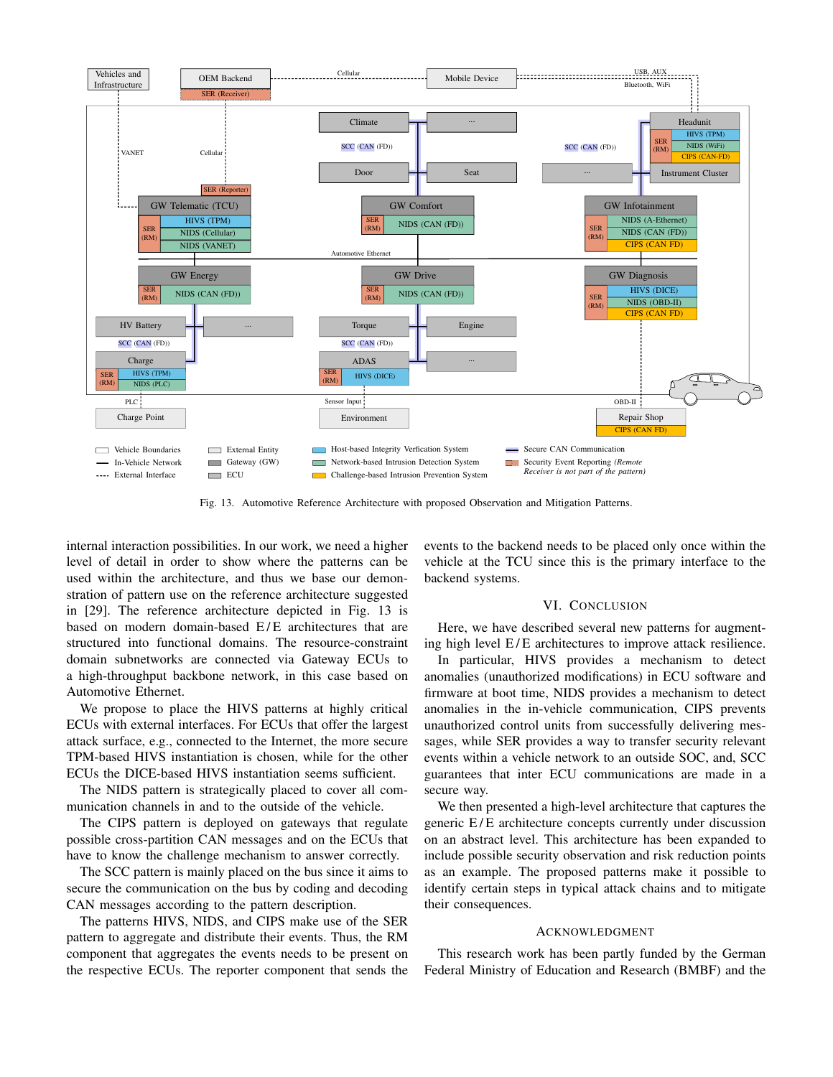

Fig. 13. Automotive Reference Architecture with proposed Observation and Mitigation Patterns.

internal interaction possibilities. In our work, we need a higher level of detail in order to show where the patterns can be used within the architecture, and thus we base our demonstration of pattern use on the reference architecture suggested in [29]. The reference architecture depicted in Fig. 13 is based on modern domain-based E/E architectures that are structured into functional domains. The resource-constraint domain subnetworks are connected via Gateway ECUs to a high-throughput backbone network, in this case based on Automotive Ethernet.

We propose to place the HIVS patterns at highly critical ECUs with external interfaces. For ECUs that offer the largest attack surface, e.g., connected to the Internet, the more secure TPM-based HIVS instantiation is chosen, while for the other ECUs the DICE-based HIVS instantiation seems sufficient.

The NIDS pattern is strategically placed to cover all communication channels in and to the outside of the vehicle.

The CIPS pattern is deployed on gateways that regulate possible cross-partition CAN messages and on the ECUs that have to know the challenge mechanism to answer correctly.

The SCC pattern is mainly placed on the bus since it aims to secure the communication on the bus by coding and decoding CAN messages according to the pattern description.

The patterns HIVS, NIDS, and CIPS make use of the SER pattern to aggregate and distribute their events. Thus, the RM component that aggregates the events needs to be present on the respective ECUs. The reporter component that sends the events to the backend needs to be placed only once within the vehicle at the TCU since this is the primary interface to the backend systems.

# VI. CONCLUSION

Here, we have described several new patterns for augmenting high level E/E architectures to improve attack resilience.

In particular, HIVS provides a mechanism to detect anomalies (unauthorized modifications) in ECU software and firmware at boot time, NIDS provides a mechanism to detect anomalies in the in-vehicle communication, CIPS prevents unauthorized control units from successfully delivering messages, while SER provides a way to transfer security relevant events within a vehicle network to an outside SOC, and, SCC guarantees that inter ECU communications are made in a secure way.

We then presented a high-level architecture that captures the generic E/E architecture concepts currently under discussion on an abstract level. This architecture has been expanded to include possible security observation and risk reduction points as an example. The proposed patterns make it possible to identify certain steps in typical attack chains and to mitigate their consequences.

#### ACKNOWLEDGMENT

This research work has been partly funded by the German Federal Ministry of Education and Research (BMBF) and the